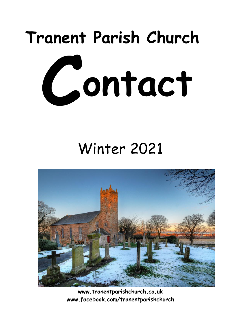# **Tranent Parish Church Contact**

# Winter 2021



**www.tranentparishchurch.co.uk www.facebook.com/tranentparishchurch**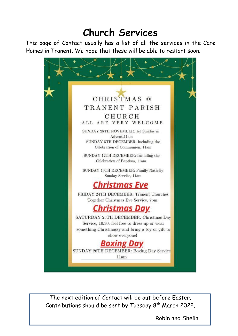## **Church Services**

This page of Contact usually has a list of all the services in the Care Homes in Tranent. We hope that these will be able to restart soon.



The next edition of Contact will be out before Easter. Contributions should be sent by Tuesday 8<sup>th</sup> March 2022.

Robin and Sheila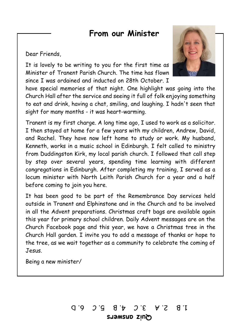#### **From our Minister**

Dear Friends,

It is lovely to be writing to you for the first time as Minister of Tranent Parish Church. The time has flown since I was ordained and inducted on 28th October. I



have special memories of that night. One highlight was going into the Church Hall after the service and seeing it full of folk enjoying something to eat and drink, having a chat, smiling, and laughing. I hadn't seen that sight for many months - it was heart-warming.

Tranent is my first charge. A long time ago, I used to work as a solicitor. I then stayed at home for a few years with my children, Andrew, David, and Rachel. They have now left home to study or work. My husband, Kenneth, works in a music school in Edinburgh. I felt called to ministry from Duddingston Kirk, my local parish church. I followed that call step by step over several years, spending time learning with different congregations in Edinburgh. After completing my training, I served as a locum minister with North Leith Parish Church for a year and a half before coming to join you here.

It has been good to be part of the Remembrance Day services held outside in Tranent and Elphinstone and in the Church and to be involved in all the Advent preparations. Christmas craft bags are available again this year for primary school children. Daily Advent messages are on the Church Facebook page and this year, we have a Christmas tree in the Church Hall garden. I invite you to add a message of thanks or hope to the tree, as we wait together as a community to celebrate the coming of Jesus.

Being a new minister/

 $4.8$  5.6 6.D A .S a ·r  $3.5$ CAUIZ answers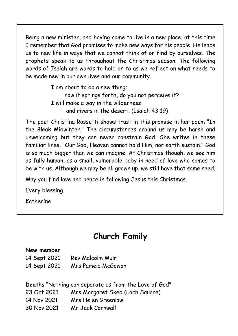Being a new minister, and having come to live in a new place, at this time I remember that God promises to make new ways for his people. He leads us to new life in ways that we cannot think of or find by ourselves. The prophets speak to us throughout the Christmas season. The following words of Isaiah are words to hold on to as we reflect on what needs to be made new in our own lives and our community.

> I am about to do a new thing; now it springs forth, do you not perceive it? I will make a way in the wilderness and rivers in the desert. (Isaiah 43:19)

The poet Christina Rossetti shows trust in this promise in her poem "In the Bleak Midwinter." The circumstances around us may be harsh and unwelcoming but they can never constrain God. She writes in these familiar lines, "Our God, Heaven cannot hold Him, nor earth sustain." God is so much bigger than we can imagine. At Christmas though, we see him as fully human, as a small, vulnerable baby in need of love who comes to be with us. Although we may be all grown up, we still have that same need.

May you find love and peace in following Jesus this Christmas.

Every blessing,

Katherine

#### **Church Family**

#### **New member**

| 14 Sept 2021 | Rev Malcolm Muir   |
|--------------|--------------------|
| 14 Sept 2021 | Mrs Pamela McGowan |

|             | <b>Deaths</b> "Nothing can separate us from the Love of God" |
|-------------|--------------------------------------------------------------|
| 23 Oct 2021 | Mrs Margaret Sked (Loch Square)                              |
| 14 Nov 2021 | Mrs Helen Greenlaw                                           |
| 30 Nov 2021 | Mr Jack Cornwall                                             |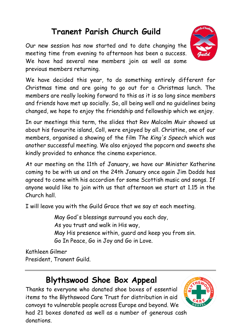### **Tranent Parish Church Guild**

Our new session has now started and to date changing the meeting time from evening to afternoon has been a success. We have had several new members join as well as some previous members returning.



We have decided this year, to do something entirely different for Christmas time and are going to go out for a Christmas lunch. The members are really looking forward to this as it is so long since members and friends have met up socially. So, all being well and no guidelines being changed, we hope to enjoy the friendship and fellowship which we enjoy.

In our meetings this term, the slides that Rev Malcolm Muir showed us about his favourite island, Coll, were enjoyed by all. Christine, one of our members, organised a showing of the film *The King's Speech* which was another successful meeting. We also enjoyed the popcorn and sweets she kindly provided to enhance the cinema experience.

At our meeting on the 11th of January, we have our Minister Katherine coming to be with us and on the 24th January once again Jim Dodds has agreed to come with his accordion for some Scottish music and songs. If anyone would like to join with us that afternoon we start at 1.15 in the Church hall.

I will leave you with the Guild Grace that we say at each meeting.

May God's blessings surround you each day, As you trust and walk in His way, May His presence within, guard and keep you from sin. Go In Peace, Go in Joy and Go in Love.

Kathleen Gilmer President, Tranent Guild.

donations.

#### **Blythswood Shoe Box Appeal**

Thanks to everyone who donated shoe boxes of essential items to the Blythswood Care Trust for distribution in aid convoys to vulnerable people across Europe and beyond. We had 21 boxes donated as well as a number of generous cash

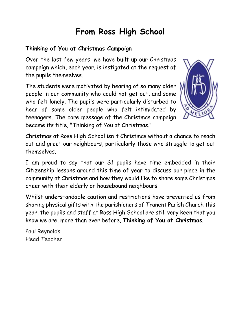#### **From Ross High School**

#### **Thinking of You at Christmas Campaign**

Over the last few years, we have built up our Christmas campaign which, each year, is instigated at the request of the pupils themselves.

The students were motivated by hearing of so many older people in our community who could not get out, and some who felt lonely. The pupils were particularly disturbed to hear of some older people who felt intimidated by teenagers. The core message of the Christmas campaign became its title, "Thinking of You at Christmas."



Christmas at Ross High School isn't Christmas without a chance to reach out and greet our neighbours, particularly those who struggle to get out themselves.

I am proud to say that our S1 pupils have time embedded in their Citizenship lessons around this time of year to discuss our place in the community at Christmas and how they would like to share some Christmas cheer with their elderly or housebound neighbours.

Whilst understandable caution and restrictions have prevented us from sharing physical gifts with the parishioners of Tranent Parish Church this year, the pupils and staff at Ross High School are still very keen that you know we are, more than ever before, **Thinking of You at Christmas**.

Paul Reynolds Head Teacher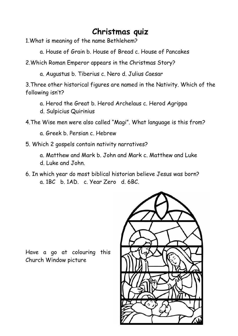#### **Christmas quiz**

1.What is meaning of the name Bethlehem?

a. House of Grain b. House of Bread c. House of Pancakes

2.Which Roman Emperor appears in the Christmas Story?

a. Augustus b. Tiberius c. Nero d. Julius Caesar

3.Three other historical figures are named in the Nativity. Which of the following isn't?

a. Herod the Great b. Herod Archelaus c. Herod Agrippa

d. Sulpicius Quirinius

4.The Wise men were also called "Magi". What language is this from?

a. Greek b. Persian c. Hebrew

5. Which 2 gospels contain nativity narratives?

a. Matthew and Mark b. John and Mark c. Matthew and Luke d. Luke and John.

6. In which year do most biblical historian believe Jesus was born? a. 1BC b. 1AD. c. Year Zero d. 6BC.

Have a go at colouring this Church Window picture